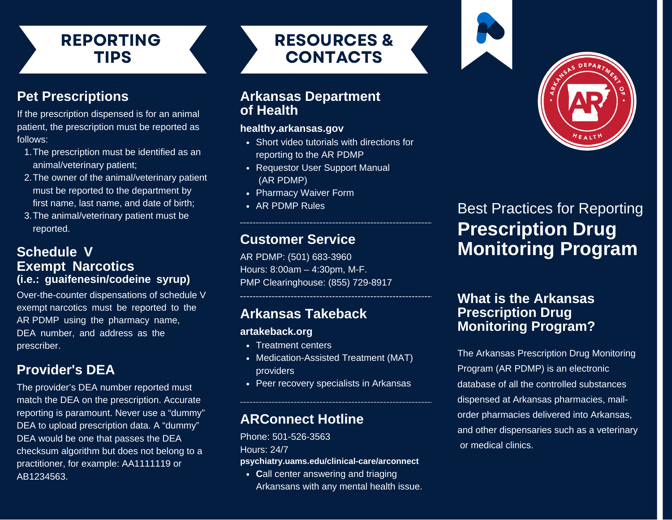# REPORTING TIPS

# **Pet Prescriptions**

If the prescription dispensed is for an animal patient, the prescription must be reported as follows:

- 1. The prescription must be identified as an animal/veterinary patient;
- 2. The owner of the animal/veterinary patient must be reported to the department by first name, last name, and date of birth;
- 3. The animal/veterinary patient must be reported.

#### **Schedule V Exempt Narcotics (i.e.: guaifenesin/codeine syrup)**

Over-the-counter dispensations of schedule V exempt narcotics must be reported to the AR PDMP using the pharmacy name, DEA number, and address as the prescriber.

#### **Provider's DEA**

The provider's DEA number reported must match the DEA on the prescription. Accurate reporting is paramount. Never use a "dummy" DEA to upload prescription data. A "dummy" DEA would be one that passes the DEA checksum algorithm but does not belong to a practitioner, for example: AA1111119 or AB1234563.

RESOURCES & CONTACTS

#### **Arkansas Department of Health**

#### **healthy.arkansas.gov**

- Short video tutorials with directions for reporting to the AR PDMP
- Requestor User Support Manual (AR PDMP)
- Pharmacy Waiver Form
- AR PDMP Rules

#### **Customer Service**

AR PDMP: (501) 683-3960 Hours: 8:00am – 4:30pm, M-F. PMP Clearinghouse: (855) 729-8917

#### **Arkansas Takeback**

#### **artakeback.org**

- Treatment centers
- Medication-Assisted Treatment (MAT) providers
- Peer recovery specialists in Arkansas

# **ARConnect Hotline**

Phone: 501-526-3563 Hours: 24/7 **psychiatry.uams.edu/clinical-care/arconnect**

• Call center answering and triaging Arkansans with any mental health issue.



# **Prescription Drug Monitoring Program** Best Practices for Reporting

#### **What is the Arkansas Prescription Drug Monitoring Program?**

The Arkansas Prescription Drug Monitoring Program (AR PDMP) is an electronic database of all the controlled substances dispensed at Arkansas pharmacies, mailorder pharmacies delivered into Arkansas, and other dispensaries such as a veterinary or medical clinics.